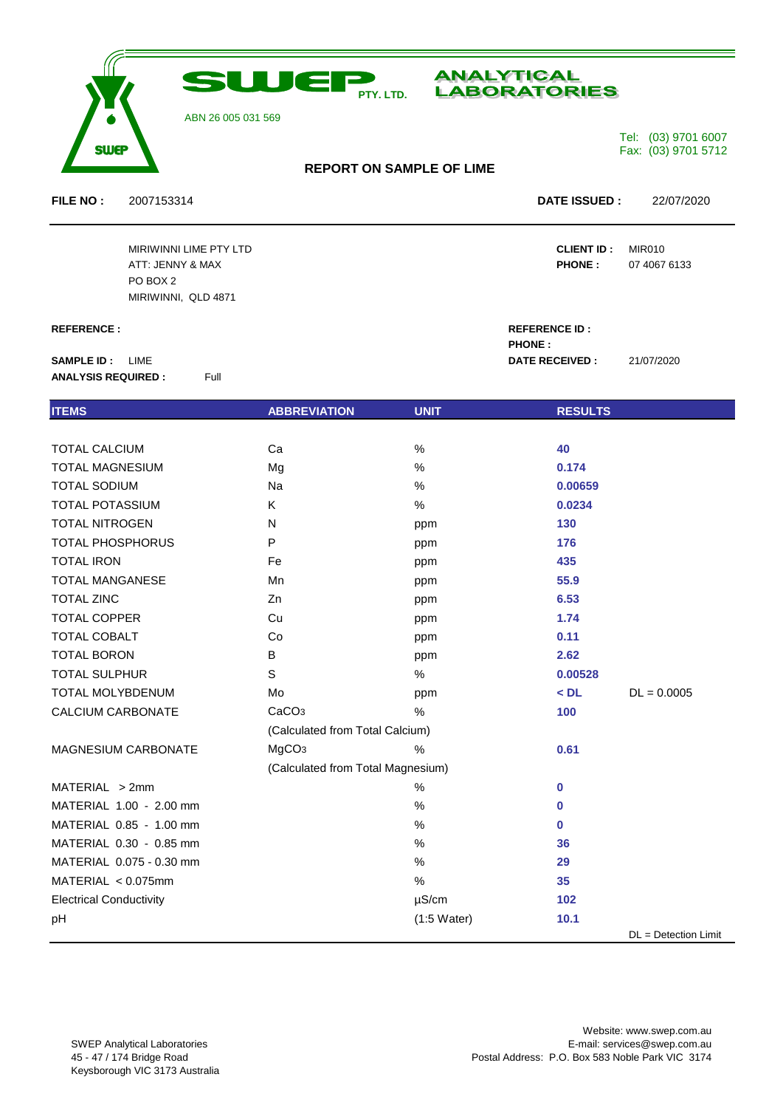

## ABN 26 005 031 569



 **PHONE :**

Tel: (03) 9701 6007 Fax: (03) 9701 5712

# **REPORT ON SAMPLE OF LIME**

**FILE NO :** 2007153314 **DATE ISSUED :** 22/07/2020

MIRIWINNI LIME PTY LTD **CLIENT ID :** MIR010 ATT: JENNY & MAX **PHONE :** 07 4067 6133 MIRIWINNI, QLD 4871

### **REFERENCE : REFERENCE ID :**

**SAMPLE ID :** LIME **DATE RECEIVED :** 21/07/2020 **ANALYSIS REQUIRED :** Full

PO BOX 2

| <b>ITEMS</b>                   | <b>ABBREVIATION</b>               | <b>UNIT</b>   | <b>RESULTS</b> |                      |
|--------------------------------|-----------------------------------|---------------|----------------|----------------------|
|                                |                                   |               |                |                      |
| <b>TOTAL CALCIUM</b>           | Ca                                | $\%$          | 40             |                      |
| <b>TOTAL MAGNESIUM</b>         | Mg                                | $\%$          | 0.174          |                      |
| <b>TOTAL SODIUM</b>            | Na                                | $\%$          | 0.00659        |                      |
| <b>TOTAL POTASSIUM</b>         | K                                 | %             | 0.0234         |                      |
| <b>TOTAL NITROGEN</b>          | N                                 | ppm           | 130            |                      |
| TOTAL PHOSPHORUS               | P                                 | ppm           | 176            |                      |
| <b>TOTAL IRON</b>              | Fe                                | ppm           | 435            |                      |
| <b>TOTAL MANGANESE</b>         | Mn                                | ppm           | 55.9           |                      |
| <b>TOTAL ZINC</b>              | Zn                                | ppm           | 6.53           |                      |
| <b>TOTAL COPPER</b>            | Cu                                | ppm           | 1.74           |                      |
| <b>TOTAL COBALT</b>            | Co                                | ppm           | 0.11           |                      |
| <b>TOTAL BORON</b>             | B                                 | ppm           | 2.62           |                      |
| <b>TOTAL SULPHUR</b>           | $\mathbb S$                       | $\%$          | 0.00528        |                      |
| TOTAL MOLYBDENUM               | Mo                                | ppm           | $<$ DL         | $DL = 0.0005$        |
| CALCIUM CARBONATE              | CaCO <sub>3</sub>                 | %             | 100            |                      |
|                                | (Calculated from Total Calcium)   |               |                |                      |
| MAGNESIUM CARBONATE            | MgCO <sub>3</sub>                 | $\%$          | 0.61           |                      |
|                                | (Calculated from Total Magnesium) |               |                |                      |
| MATERIAL > 2mm                 |                                   | %             | $\bf{0}$       |                      |
| MATERIAL 1.00 - 2.00 mm        |                                   | $\%$          | $\bf{0}$       |                      |
| MATERIAL 0.85 - 1.00 mm        |                                   | %             | $\bf{0}$       |                      |
| MATERIAL 0.30 - 0.85 mm        |                                   | $\%$          | 36             |                      |
| MATERIAL 0.075 - 0.30 mm       |                                   | %             | 29             |                      |
| MATERIAL < 0.075mm             |                                   | %             | 35             |                      |
| <b>Electrical Conductivity</b> |                                   | $\mu$ S/cm    | 102            |                      |
| pH                             |                                   | $(1:5$ Water) | 10.1           |                      |
|                                |                                   |               |                | DL = Detection Limit |